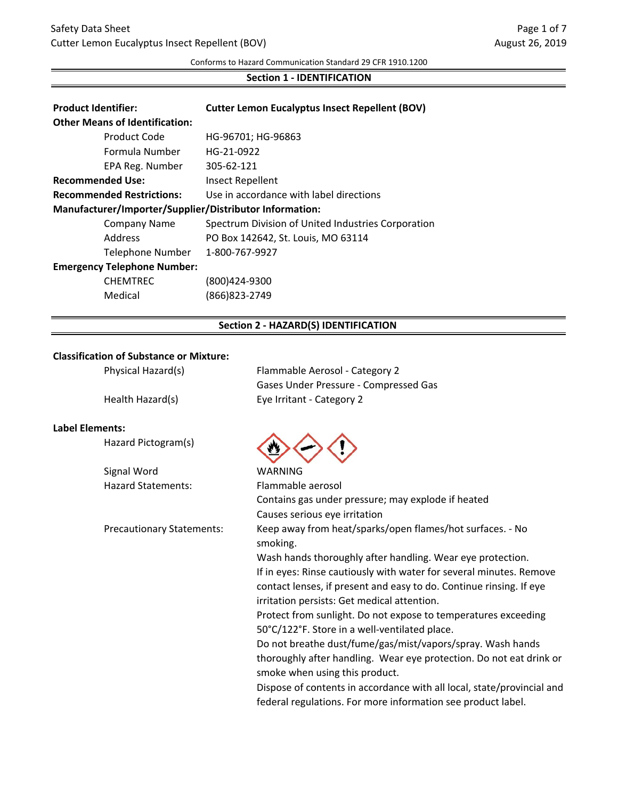#### Conforms to Hazard Communication Standard 29 CFR 1910.1200

## **Section 1 - IDENTIFICATION**

| <b>Product Identifier:</b><br><b>Other Means of Identification:</b> |                         | <b>Cutter Lemon Eucalyptus Insect Repellent (BOV)</b> |
|---------------------------------------------------------------------|-------------------------|-------------------------------------------------------|
|                                                                     | Product Code            | HG-96701; HG-96863                                    |
|                                                                     | Formula Number          | HG-21-0922                                            |
|                                                                     | EPA Reg. Number         | 305-62-121                                            |
| <b>Recommended Use:</b>                                             |                         | <b>Insect Repellent</b>                               |
| <b>Recommended Restrictions:</b>                                    |                         | Use in accordance with label directions               |
| Manufacturer/Importer/Supplier/Distributor Information:             |                         |                                                       |
|                                                                     | <b>Company Name</b>     | Spectrum Division of United Industries Corporation    |
|                                                                     | Address                 | PO Box 142642, St. Louis, MO 63114                    |
|                                                                     | <b>Telephone Number</b> | 1-800-767-9927                                        |
| <b>Emergency Telephone Number:</b>                                  |                         |                                                       |
|                                                                     | <b>CHEMTREC</b>         | (800)424-9300                                         |
|                                                                     | Medical                 | (866)823-2749                                         |

## **Section 2 - HAZARD(S) IDENTIFICATION**

## **Classification of Substance or Mixture:**

| Physical Hazard(s) | Flammable Aerosol - Category 2        |
|--------------------|---------------------------------------|
|                    | Gases Under Pressure - Compressed Gas |
| Health Hazard(s)   | Eye Irritant - Category 2             |

## **Label Elements:**

|  | Hazard Pictogram(s) |  |
|--|---------------------|--|
|--|---------------------|--|

| Signal Word        |
|--------------------|
| Hazard Statements: |



| Signal Word                      | <b>WARNING</b>                                                         |
|----------------------------------|------------------------------------------------------------------------|
| <b>Hazard Statements:</b>        | Flammable aerosol                                                      |
|                                  | Contains gas under pressure; may explode if heated                     |
|                                  | Causes serious eye irritation                                          |
| <b>Precautionary Statements:</b> | Keep away from heat/sparks/open flames/hot surfaces. - No<br>smoking.  |
|                                  | Wash hands thoroughly after handling. Wear eye protection.             |
|                                  | If in eyes: Rinse cautiously with water for several minutes. Remove    |
|                                  | contact lenses, if present and easy to do. Continue rinsing. If eye    |
|                                  | irritation persists: Get medical attention.                            |
|                                  | Protect from sunlight. Do not expose to temperatures exceeding         |
|                                  | 50°C/122°F. Store in a well-ventilated place.                          |
|                                  | Do not breathe dust/fume/gas/mist/vapors/spray. Wash hands             |
|                                  | thoroughly after handling. Wear eye protection. Do not eat drink or    |
|                                  | smoke when using this product.                                         |
|                                  | Dispose of contents in accordance with all local, state/provincial and |
|                                  | federal regulations. For more information see product label.           |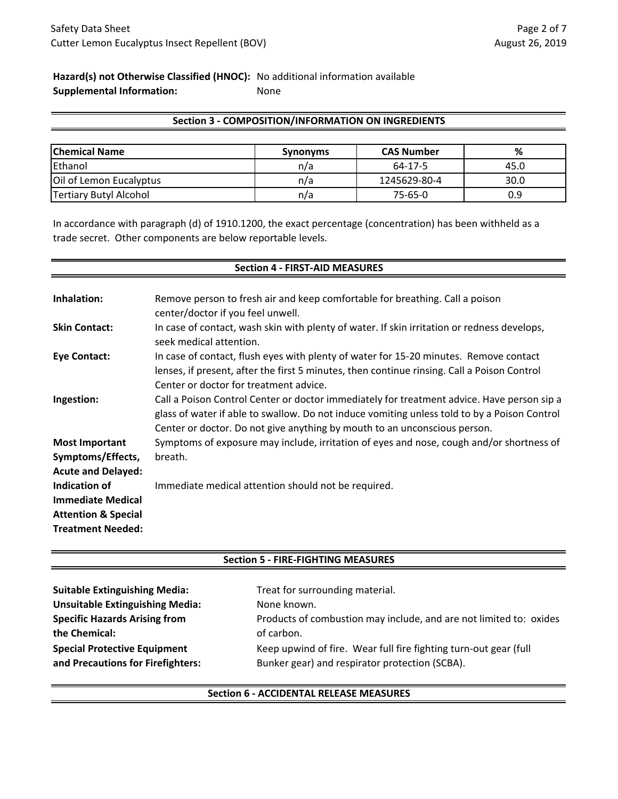## **Hazard(s) not Otherwise Classified (HNOC):** No additional information available **Supplemental Information:** None

## **Section 3 - COMPOSITION/INFORMATION ON INGREDIENTS**

| <b>Chemical Name</b>          | <b>Synonyms</b> | <b>CAS Number</b> | %    |
|-------------------------------|-----------------|-------------------|------|
| Ethanol                       | n/a             | 64-17-5           | 45.0 |
| Oil of Lemon Eucalyptus       | n/a             | 1245629-80-4      | 30.0 |
| <b>Tertiary Butyl Alcohol</b> | n/a             | $75 - 65 - 0$     | 0.9  |

In accordance with paragraph (d) of 1910.1200, the exact percentage (concentration) has been withheld as a trade secret. Other components are below reportable levels.

| <b>Section 4 - FIRST-AID MEASURES</b>                                                                                                |                                                                                                                                                                                                                                                                         |  |  |  |
|--------------------------------------------------------------------------------------------------------------------------------------|-------------------------------------------------------------------------------------------------------------------------------------------------------------------------------------------------------------------------------------------------------------------------|--|--|--|
| Inhalation:                                                                                                                          | Remove person to fresh air and keep comfortable for breathing. Call a poison                                                                                                                                                                                            |  |  |  |
| <b>Skin Contact:</b>                                                                                                                 | center/doctor if you feel unwell.<br>In case of contact, wash skin with plenty of water. If skin irritation or redness develops,                                                                                                                                        |  |  |  |
|                                                                                                                                      | seek medical attention.                                                                                                                                                                                                                                                 |  |  |  |
| <b>Eye Contact:</b>                                                                                                                  | In case of contact, flush eyes with plenty of water for 15-20 minutes. Remove contact<br>lenses, if present, after the first 5 minutes, then continue rinsing. Call a Poison Control<br>Center or doctor for treatment advice.                                          |  |  |  |
| Ingestion:                                                                                                                           | Call a Poison Control Center or doctor immediately for treatment advice. Have person sip a<br>glass of water if able to swallow. Do not induce vomiting unless told to by a Poison Control<br>Center or doctor. Do not give anything by mouth to an unconscious person. |  |  |  |
| <b>Most Important</b>                                                                                                                | Symptoms of exposure may include, irritation of eyes and nose, cough and/or shortness of                                                                                                                                                                                |  |  |  |
| Symptoms/Effects,                                                                                                                    | breath.                                                                                                                                                                                                                                                                 |  |  |  |
| <b>Acute and Delayed:</b><br>Indication of<br><b>Immediate Medical</b><br><b>Attention &amp; Special</b><br><b>Treatment Needed:</b> | Immediate medical attention should not be required.                                                                                                                                                                                                                     |  |  |  |

## **Section 5 - FIRE-FIGHTING MEASURES**

| <b>Suitable Extinguishing Media:</b>   | Treat for surrounding material.                                    |
|----------------------------------------|--------------------------------------------------------------------|
| <b>Unsuitable Extinguishing Media:</b> | None known.                                                        |
| <b>Specific Hazards Arising from</b>   | Products of combustion may include, and are not limited to: oxides |
| the Chemical:                          | of carbon.                                                         |
| <b>Special Protective Equipment</b>    | Keep upwind of fire. Wear full fire fighting turn-out gear (full   |
| and Precautions for Firefighters:      | Bunker gear) and respirator protection (SCBA).                     |

## **Section 6 - ACCIDENTAL RELEASE MEASURES**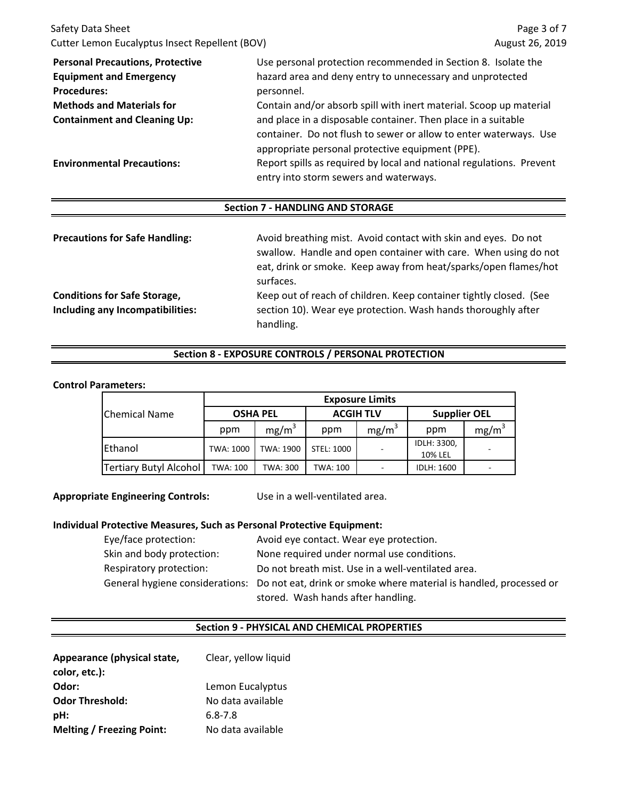| Cutter Lemon Eucalyptus Insect Repellent (BOV)                                                         | Page 3 of 7<br>August 26, 2019         |  |
|--------------------------------------------------------------------------------------------------------|----------------------------------------|--|
| Use personal protection recommended in Section 8. Isolate the                                          |                                        |  |
| hazard area and deny entry to unnecessary and unprotected                                              |                                        |  |
| personnel.                                                                                             |                                        |  |
| Contain and/or absorb spill with inert material. Scoop up material<br><b>Methods and Materials for</b> |                                        |  |
| and place in a disposable container. Then place in a suitable                                          |                                        |  |
| container. Do not flush to sewer or allow to enter waterways. Use                                      |                                        |  |
| appropriate personal protective equipment (PPE).                                                       |                                        |  |
| Report spills as required by local and national regulations. Prevent                                   |                                        |  |
|                                                                                                        | entry into storm sewers and waterways. |  |

## **Section 7 - HANDLING AND STORAGE**

| <b>Precautions for Safe Handling:</b> | Avoid breathing mist. Avoid contact with skin and eyes. Do not<br>swallow. Handle and open container with care. When using do not<br>eat, drink or smoke. Keep away from heat/sparks/open flames/hot<br>surfaces. |
|---------------------------------------|-------------------------------------------------------------------------------------------------------------------------------------------------------------------------------------------------------------------|
| <b>Conditions for Safe Storage,</b>   | Keep out of reach of children. Keep container tightly closed. (See                                                                                                                                                |
| Including any Incompatibilities:      | section 10). Wear eye protection. Wash hands thoroughly after<br>handling.                                                                                                                                        |

## **Section 8 - EXPOSURE CONTROLS / PERSONAL PROTECTION**

### **Control Parameters:**

|                               | <b>Exposure Limits</b> |           |                  |                          |                     |                   |
|-------------------------------|------------------------|-----------|------------------|--------------------------|---------------------|-------------------|
| <b>Chemical Name</b>          | <b>OSHA PEL</b>        |           | <b>ACGIH TLV</b> |                          | <b>Supplier OEL</b> |                   |
|                               | ppm                    | $mg/m^3$  | ppm              | $mg/m^3$                 | ppm                 | mg/m <sup>3</sup> |
| <b>IEthanol</b>               | TWA: 1000              | TWA: 1900 | STEL: 1000       | $\overline{\phantom{a}}$ | IDLH: 3300,         |                   |
|                               |                        |           |                  |                          | 10% LEL             |                   |
| <b>Tertiary Butyl Alcohol</b> | TWA: 100               | TWA: 300  | TWA: 100         | $\overline{\phantom{a}}$ | <b>IDLH: 1600</b>   |                   |

**Appropriate Engineering Controls:** Use in a well-ventilated area.

#### **Individual Protective Measures, Such as Personal Protective Equipment:**

| Eye/face protection:      | Avoid eye contact. Wear eye protection.                                                            |
|---------------------------|----------------------------------------------------------------------------------------------------|
| Skin and body protection: | None required under normal use conditions.                                                         |
| Respiratory protection:   | Do not breath mist. Use in a well-ventilated area.                                                 |
|                           | General hygiene considerations: Do not eat, drink or smoke where material is handled, processed or |
|                           | stored. Wash hands after handling.                                                                 |

### **Section 9 - PHYSICAL AND CHEMICAL PROPERTIES**

| Appearance (physical state,      | Clear, yellow liquid |
|----------------------------------|----------------------|
| color, etc.):                    |                      |
| Odor:                            | Lemon Eucalyptus     |
| <b>Odor Threshold:</b>           | No data available    |
| pH:                              | $6.8 - 7.8$          |
| <b>Melting / Freezing Point:</b> | No data available    |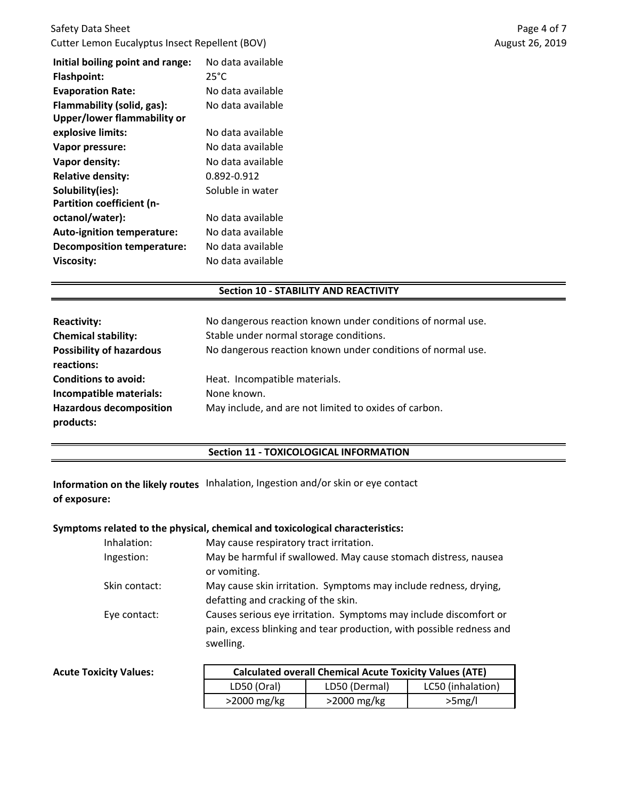| Initial boiling point and range:  | No data available |
|-----------------------------------|-------------------|
| <b>Flashpoint:</b>                | 25°C              |
| <b>Evaporation Rate:</b>          | No data available |
| Flammability (solid, gas):        | No data available |
| Upper/lower flammability or       |                   |
| explosive limits:                 | No data available |
| Vapor pressure:                   | No data available |
| Vapor density:                    | No data available |
| <b>Relative density:</b>          | 0.892-0.912       |
| Solubility(ies):                  | Soluble in water  |
| <b>Partition coefficient (n-</b>  |                   |
| octanol/water):                   | No data available |
| <b>Auto-ignition temperature:</b> | No data available |
| <b>Decomposition temperature:</b> | No data available |
| Viscosity:                        | No data available |

### **Section 10 - STABILITY AND REACTIVITY**

| <b>Reactivity:</b>              | No dangerous reaction known under conditions of normal use. |
|---------------------------------|-------------------------------------------------------------|
| <b>Chemical stability:</b>      | Stable under normal storage conditions.                     |
| <b>Possibility of hazardous</b> | No dangerous reaction known under conditions of normal use. |
| reactions:                      |                                                             |
| <b>Conditions to avoid:</b>     | Heat. Incompatible materials.                               |
| Incompatible materials:         | None known.                                                 |
| <b>Hazardous decomposition</b>  | May include, and are not limited to oxides of carbon.       |
| products:                       |                                                             |

## **Section 11 - TOXICOLOGICAL INFORMATION**

**Information on the likely routes** Inhalation, Ingestion and/or skin or eye contact **of exposure:**

## **Symptoms related to the physical, chemical and toxicological characteristics:**

| Inhalation:   | May cause respiratory tract irritation.                              |
|---------------|----------------------------------------------------------------------|
| Ingestion:    | May be harmful if swallowed. May cause stomach distress, nausea      |
|               | or vomiting.                                                         |
| Skin contact: | May cause skin irritation. Symptoms may include redness, drying,     |
|               | defatting and cracking of the skin.                                  |
| Eye contact:  | Causes serious eye irritation. Symptoms may include discomfort or    |
|               | pain, excess blinking and tear production, with possible redness and |
|               | swelling.                                                            |
|               |                                                                      |

| <b>Acute Toxicity Values:</b> | <b>Calculated overall Chemical Acute Toxicity Values (ATE)</b> |               |                   |
|-------------------------------|----------------------------------------------------------------|---------------|-------------------|
|                               | LD50 (Oral)                                                    | LD50 (Dermal) | LC50 (inhalation) |
|                               | $>2000$ mg/kg                                                  | $>2000$ mg/kg | >5mg/l            |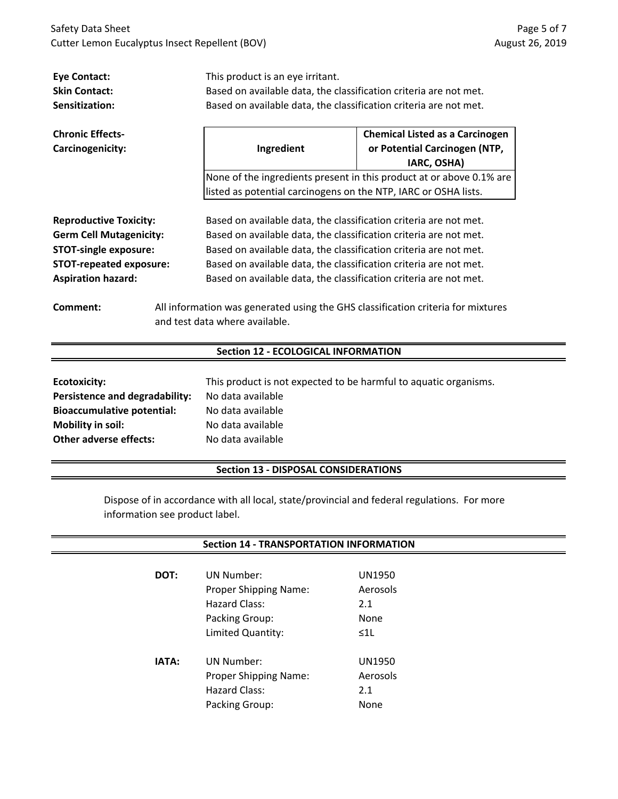| <b>Eye Contact:</b>                   | This product is an eye irritant.                                                 |                                                                      |  |
|---------------------------------------|----------------------------------------------------------------------------------|----------------------------------------------------------------------|--|
| <b>Skin Contact:</b>                  | Based on available data, the classification criteria are not met.                |                                                                      |  |
| Sensitization:                        | Based on available data, the classification criteria are not met.                |                                                                      |  |
|                                       |                                                                                  |                                                                      |  |
| <b>Chronic Effects-</b>               | <b>Chemical Listed as a Carcinogen</b>                                           |                                                                      |  |
| Carcinogenicity:                      | Ingredient                                                                       | or Potential Carcinogen (NTP,                                        |  |
|                                       |                                                                                  | IARC, OSHA)                                                          |  |
|                                       |                                                                                  | None of the ingredients present in this product at or above 0.1% are |  |
|                                       | listed as potential carcinogens on the NTP, IARC or OSHA lists.                  |                                                                      |  |
|                                       |                                                                                  |                                                                      |  |
| <b>Reproductive Toxicity:</b>         | Based on available data, the classification criteria are not met.                |                                                                      |  |
| <b>Germ Cell Mutagenicity:</b>        | Based on available data, the classification criteria are not met.                |                                                                      |  |
| <b>STOT-single exposure:</b>          | Based on available data, the classification criteria are not met.                |                                                                      |  |
| <b>STOT-repeated exposure:</b>        | Based on available data, the classification criteria are not met.                |                                                                      |  |
| <b>Aspiration hazard:</b>             | Based on available data, the classification criteria are not met.                |                                                                      |  |
|                                       |                                                                                  |                                                                      |  |
| Comment:                              | All information was generated using the GHS classification criteria for mixtures |                                                                      |  |
|                                       | and test data where available.                                                   |                                                                      |  |
|                                       |                                                                                  |                                                                      |  |
|                                       | <b>Section 12 - ECOLOGICAL INFORMATION</b>                                       |                                                                      |  |
|                                       |                                                                                  |                                                                      |  |
| <b>Ecotoxicity:</b>                   | This product is not expected to be harmful to aquatic organisms.                 |                                                                      |  |
| <b>Persistence and degradability:</b> | No data available                                                                |                                                                      |  |
| <b>Bioaccumulative potential:</b>     | No data available                                                                |                                                                      |  |
| Mobility in soil:                     | No data available                                                                |                                                                      |  |
| <b>Other adverse effects:</b>         | No data available                                                                |                                                                      |  |
|                                       |                                                                                  |                                                                      |  |

## **Section 13 - DISPOSAL CONSIDERATIONS**

Dispose of in accordance with all local, state/provincial and federal regulations. For more information see product label.

## **Section 14 - TRANSPORTATION INFORMATION**

| DOT:         | <b>UN Number:</b>            | UN1950        |
|--------------|------------------------------|---------------|
|              | <b>Proper Shipping Name:</b> | Aerosols      |
|              | Hazard Class:                | 2.1           |
|              | Packing Group:               | None          |
|              | Limited Quantity:            | $\leq$ 11     |
|              |                              |               |
| <b>IATA:</b> | UN Number:                   | <b>UN1950</b> |
|              | <b>Proper Shipping Name:</b> | Aerosols      |
|              | Hazard Class:                | 2.1           |
|              | Packing Group:               | None          |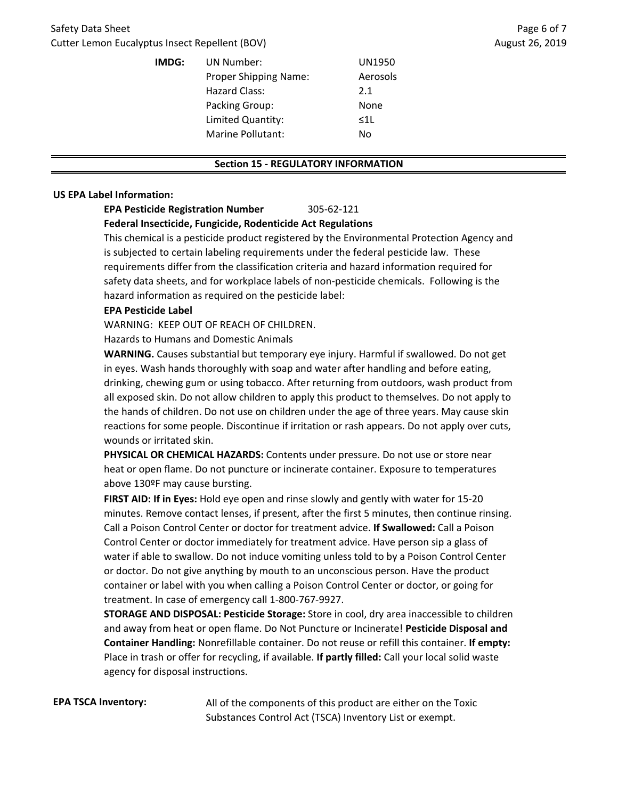| IMDG: | UN Number:<br><b>Proper Shipping Name:</b><br>Hazard Class: | UN1950<br>Aerosols            |
|-------|-------------------------------------------------------------|-------------------------------|
|       | Packing Group:<br>Limited Quantity:<br>Marine Pollutant:    | 2.1<br>None<br>$\leq 1$<br>No |

#### **Section 15 - REGULATORY INFORMATION**

#### **US EPA Label Information:**

# **EPA Pesticide Registration Number** 305-62-121

## **Federal Insecticide, Fungicide, Rodenticide Act Regulations**

This chemical is a pesticide product registered by the Environmental Protection Agency and is subjected to certain labeling requirements under the federal pesticide law. These requirements differ from the classification criteria and hazard information required for safety data sheets, and for workplace labels of non-pesticide chemicals. Following is the hazard information as required on the pesticide label:

#### **EPA Pesticide Label**

WARNING: KEEP OUT OF REACH OF CHILDREN.

Hazards to Humans and Domestic Animals

**WARNING.** Causes substantial but temporary eye injury. Harmful if swallowed. Do not get in eyes. Wash hands thoroughly with soap and water after handling and before eating, drinking, chewing gum or using tobacco. After returning from outdoors, wash product from all exposed skin. Do not allow children to apply this product to themselves. Do not apply to the hands of children. Do not use on children under the age of three years. May cause skin reactions for some people. Discontinue if irritation or rash appears. Do not apply over cuts, wounds or irritated skin.

**PHYSICAL OR CHEMICAL HAZARDS:** Contents under pressure. Do not use or store near heat or open flame. Do not puncture or incinerate container. Exposure to temperatures above 130ºF may cause bursting.

**FIRST AID: If in Eyes:** Hold eye open and rinse slowly and gently with water for 15-20 minutes. Remove contact lenses, if present, after the first 5 minutes, then continue rinsing. Call a Poison Control Center or doctor for treatment advice. **If Swallowed:** Call a Poison Control Center or doctor immediately for treatment advice. Have person sip a glass of water if able to swallow. Do not induce vomiting unless told to by a Poison Control Center or doctor. Do not give anything by mouth to an unconscious person. Have the product container or label with you when calling a Poison Control Center or doctor, or going for treatment. In case of emergency call 1-800-767-9927.

**STORAGE AND DISPOSAL: Pesticide Storage:** Store in cool, dry area inaccessible to children and away from heat or open flame. Do Not Puncture or Incinerate! **Pesticide Disposal and Container Handling:** Nonrefillable container. Do not reuse or refill this container. **If empty:**  Place in trash or offer for recycling, if available. **If partly filled:** Call your local solid waste agency for disposal instructions.

**EPA TSCA Inventory:** All of the components of this product are either on the Toxic Substances Control Act (TSCA) Inventory List or exempt.